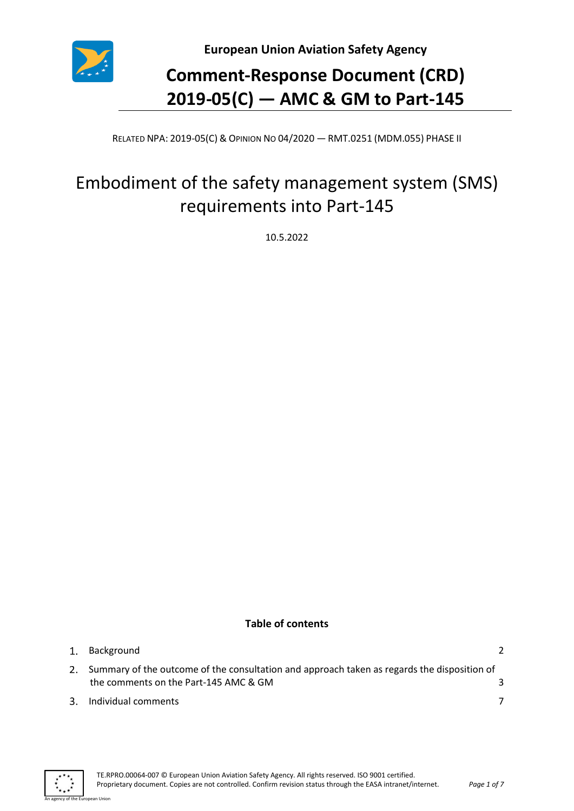

**European Union Aviation Safety Agency**

# **Comment-Response Document (CRD) 2019-05(C) — AMC & GM to Part-145**

RELATED NPA: 2019-05(C) & OPINION NO 04/2020 — RMT.0251 (MDM.055) PHASE II

## Embodiment of the safety management system (SMS) requirements into Part-145

10.5.2022

## **Table of contents**

| 1. Background                                                                                                                           |  |
|-----------------------------------------------------------------------------------------------------------------------------------------|--|
| 2. Summary of the outcome of the consultation and approach taken as regards the disposition of<br>the comments on the Part-145 AMC & GM |  |
| 3. Individual comments                                                                                                                  |  |



an Hoior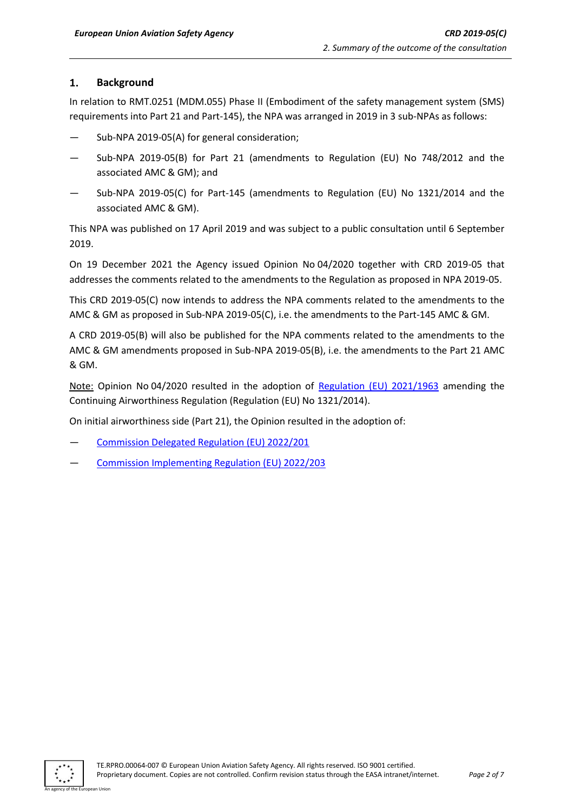#### <span id="page-1-0"></span> $\mathbf{1}$ . **Background**

In relation to RMT.0251 (MDM.055) Phase II (Embodiment of the safety management system (SMS) requirements into Part 21 and Part-145), the NPA was arranged in 2019 in 3 sub-NPAs as follows:

- Sub-NPA 2019-05(A) for general consideration;
- Sub-NPA 2019-05(B) for Part 21 (amendments to Regulation (EU) No 748/2012 and the associated AMC & GM); and
- Sub-NPA 2019-05(C) for Part-145 (amendments to Regulation (EU) No 1321/2014 and the associated AMC & GM).

This NPA was published on 17 April 2019 and was subject to a public consultation until 6 September 2019.

On 19 December 2021 the Agency issued Opinion No 04/2020 together with CRD 2019-05 that addresses the comments related to the amendments to the Regulation as proposed in NPA 2019-05.

This CRD 2019-05(C) now intends to address the NPA comments related to the amendments to the AMC & GM as proposed in Sub-NPA 2019-05(C), i.e. the amendments to the Part-145 AMC & GM.

A CRD 2019-05(B) will also be published for the NPA comments related to the amendments to the AMC & GM amendments proposed in Sub-NPA 2019-05(B), i.e. the amendments to the Part 21 AMC & GM.

Note: Opinion No 04/2020 resulted in the adoption of [Regulation \(EU\) 2021/1963](https://www.easa.europa.eu/document-library/regulations/commission-implementing-regulation-eu-20211963) amending the Continuing Airworthiness Regulation (Regulation (EU) No 1321/2014).

On initial airworthiness side (Part 21), the Opinion resulted in the adoption of:

- [Commission Delegated Regulation \(EU\) 2022/201](https://eur-lex.europa.eu/legal-content/EN/AUTO/?uri=uriserv:OJ.L_.2022.033.01.0007.01.ENG&toc=OJ:L:2022:033:FULL)
- [Commission Implementing Regulation \(EU\) 2022/203](https://eur-lex.europa.eu/legal-content/EN/AUTO/?uri=uriserv:OJ.L_.2022.033.01.0046.01.ENG&toc=OJ:L:2022:033:FULL)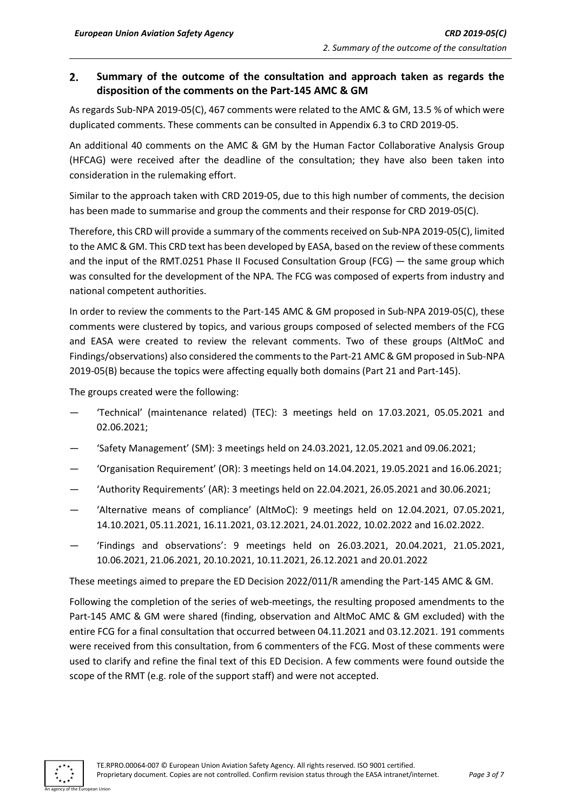#### <span id="page-2-0"></span> $2.$ **Summary of the outcome of the consultation and approach taken as regards the disposition of the comments on the Part-145 AMC & GM**

As regards Sub-NPA 2019-05(C), 467 comments were related to the AMC & GM, 13.5 % of which were duplicated comments. These comments can be consulted in Appendix 6.3 to CRD 2019-05.

An additional 40 comments on the AMC & GM by the Human Factor Collaborative Analysis Group (HFCAG) were received after the deadline of the consultation; they have also been taken into consideration in the rulemaking effort.

Similar to the approach taken with CRD 2019-05, due to this high number of comments, the decision has been made to summarise and group the comments and their response for CRD 2019-05(C).

Therefore, this CRD will provide a summary of the comments received on Sub-NPA 2019-05(C), limited to the AMC & GM. This CRD text has been developed by EASA, based on the review of these comments and the input of the RMT.0251 Phase II Focused Consultation Group (FCG) — the same group which was consulted for the development of the NPA. The FCG was composed of experts from industry and national competent authorities.

In order to review the comments to the Part-145 AMC & GM proposed in Sub-NPA 2019-05(C), these comments were clustered by topics, and various groups composed of selected members of the FCG and EASA were created to review the relevant comments. Two of these groups (AltMoC and Findings/observations) also considered the commentsto the Part-21 AMC & GM proposed in Sub-NPA 2019-05(B) because the topics were affecting equally both domains (Part 21 and Part-145).

The groups created were the following:

- 'Technical' (maintenance related) (TEC): 3 meetings held on 17.03.2021, 05.05.2021 and 02.06.2021;
- 'Safety Management' (SM): 3 meetings held on 24.03.2021, 12.05.2021 and 09.06.2021;
- 'Organisation Requirement' (OR): 3 meetings held on 14.04.2021, 19.05.2021 and 16.06.2021;
- 'Authority Requirements' (AR): 3 meetings held on 22.04.2021, 26.05.2021 and 30.06.2021;
- 'Alternative means of compliance' (AltMoC): 9 meetings held on 12.04.2021, 07.05.2021, 14.10.2021, 05.11.2021, 16.11.2021, 03.12.2021, 24.01.2022, 10.02.2022 and 16.02.2022.
- 'Findings and observations': 9 meetings held on 26.03.2021, 20.04.2021, 21.05.2021, 10.06.2021, 21.06.2021, 20.10.2021, 10.11.2021, 26.12.2021 and 20.01.2022

These meetings aimed to prepare the ED Decision 2022/011/R amending the Part-145 AMC & GM.

Following the completion of the series of web-meetings, the resulting proposed amendments to the Part-145 AMC & GM were shared (finding, observation and AltMoC AMC & GM excluded) with the entire FCG for a final consultation that occurred between 04.11.2021 and 03.12.2021. 191 comments were received from this consultation, from 6 commenters of the FCG. Most of these comments were used to clarify and refine the final text of this ED Decision. A few comments were found outside the scope of the RMT (e.g. role of the support staff) and were not accepted.

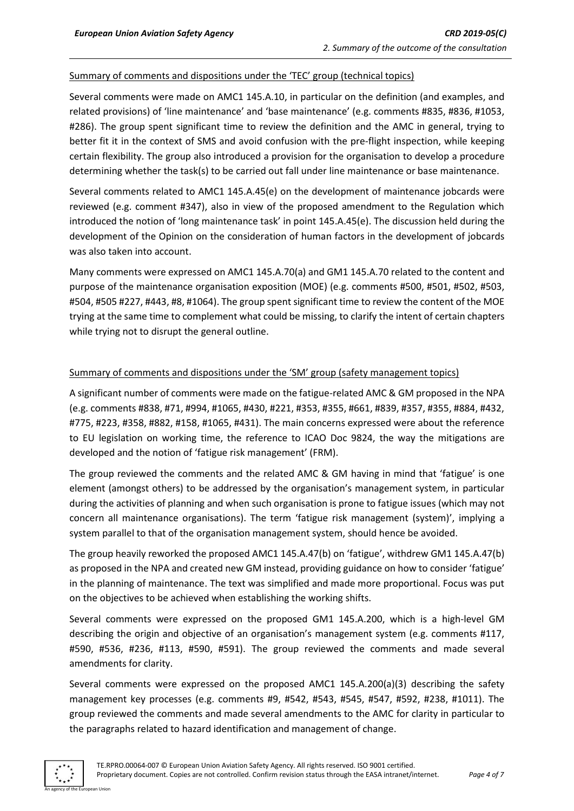### Summary of comments and dispositions under the 'TEC' group (technical topics)

Several comments were made on AMC1 145.A.10, in particular on the definition (and examples, and related provisions) of 'line maintenance' and 'base maintenance' (e.g. comments #835, #836, #1053, #286). The group spent significant time to review the definition and the AMC in general, trying to better fit it in the context of SMS and avoid confusion with the pre-flight inspection, while keeping certain flexibility. The group also introduced a provision for the organisation to develop a procedure determining whether the task(s) to be carried out fall under line maintenance or base maintenance.

Several comments related to AMC1 145.A.45(e) on the development of maintenance jobcards were reviewed (e.g. comment #347), also in view of the proposed amendment to the Regulation which introduced the notion of 'long maintenance task' in point 145.A.45(e). The discussion held during the development of the Opinion on the consideration of human factors in the development of jobcards was also taken into account.

Many comments were expressed on AMC1 145.A.70(a) and GM1 145.A.70 related to the content and purpose of the maintenance organisation exposition (MOE) (e.g. comments #500, #501, #502, #503, #504, #505 #227, #443, #8, #1064). The group spent significant time to review the content of the MOE trying at the same time to complement what could be missing, to clarify the intent of certain chapters while trying not to disrupt the general outline.

### Summary of comments and dispositions under the 'SM' group (safety management topics)

A significant number of comments were made on the fatigue-related AMC & GM proposed in the NPA (e.g. comments #838, #71, #994, #1065, #430, #221, #353, #355, #661, #839, #357, #355, #884, #432, #775, #223, #358, #882, #158, #1065, #431). The main concerns expressed were about the reference to EU legislation on working time, the reference to ICAO Doc 9824, the way the mitigations are developed and the notion of 'fatigue risk management' (FRM).

The group reviewed the comments and the related AMC & GM having in mind that 'fatigue' is one element (amongst others) to be addressed by the organisation's management system, in particular during the activities of planning and when such organisation is prone to fatigue issues (which may not concern all maintenance organisations). The term 'fatigue risk management (system)', implying a system parallel to that of the organisation management system, should hence be avoided.

The group heavily reworked the proposed AMC1 145.A.47(b) on 'fatigue', withdrew GM1 145.A.47(b) as proposed in the NPA and created new GM instead, providing guidance on how to consider 'fatigue' in the planning of maintenance. The text was simplified and made more proportional. Focus was put on the objectives to be achieved when establishing the working shifts.

Several comments were expressed on the proposed GM1 145.A.200, which is a high-level GM describing the origin and objective of an organisation's management system (e.g. comments #117, #590, #536, #236, #113, #590, #591). The group reviewed the comments and made several amendments for clarity.

Several comments were expressed on the proposed AMC1 145.A.200(a)(3) describing the safety management key processes (e.g. comments #9, #542, #543, #545, #547, #592, #238, #1011). The group reviewed the comments and made several amendments to the AMC for clarity in particular to the paragraphs related to hazard identification and management of change.

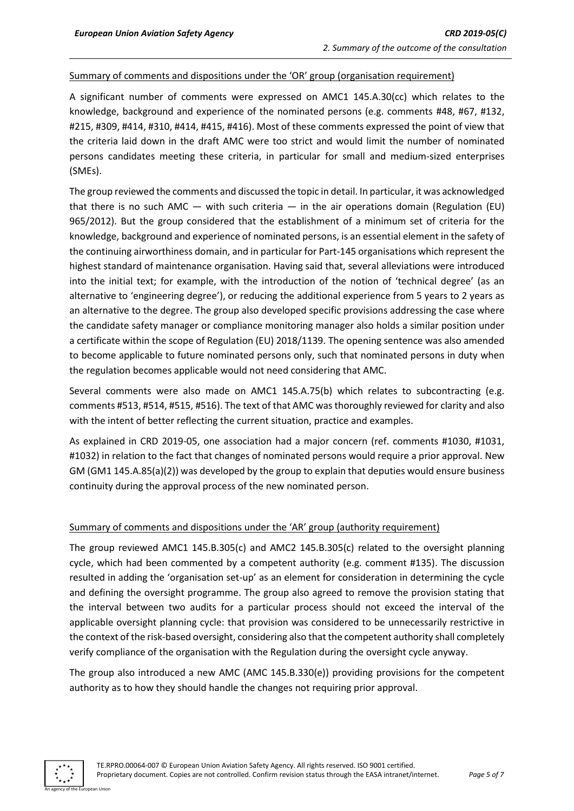### Summary of comments and dispositions under the 'OR' group (organisation requirement)

A significant number of comments were expressed on AMC1 145.A.30(cc) which relates to the knowledge, background and experience of the nominated persons (e.g. comments #48, #67, #132, #215, #309, #414, #310, #414, #415, #416). Most of these comments expressed the point of view that the criteria laid down in the draft AMC were too strict and would limit the number of nominated persons candidates meeting these criteria, in particular for small and medium-sized enterprises (SMEs).

The group reviewed the comments and discussed the topic in detail. In particular, it was acknowledged that there is no such AMC  $-$  with such criteria  $-$  in the air operations domain (Regulation (EU) 965/2012). But the group considered that the establishment of a minimum set of criteria for the knowledge, background and experience of nominated persons, is an essential element in the safety of the continuing airworthiness domain, and in particular for Part-145 organisations which represent the highest standard of maintenance organisation. Having said that, several alleviations were introduced into the initial text; for example, with the introduction of the notion of 'technical degree' (as an alternative to 'engineering degree'), or reducing the additional experience from 5 years to 2 years as an alternative to the degree. The group also developed specific provisions addressing the case where the candidate safety manager or compliance monitoring manager also holds a similar position under a certificate within the scope of Regulation (EU) 2018/1139. The opening sentence was also amended to become applicable to future nominated persons only, such that nominated persons in duty when the regulation becomes applicable would not need considering that AMC.

Several comments were also made on AMC1 145.A.75(b) which relates to subcontracting (e.g. comments #513, #514, #515, #516). The text of that AMC was thoroughly reviewed for clarity and also with the intent of better reflecting the current situation, practice and examples.

As explained in CRD 2019-05, one association had a major concern (ref. comments #1030, #1031, #1032) in relation to the fact that changes of nominated persons would require a prior approval. New GM (GM1 145.A.85(a)(2)) was developed by the group to explain that deputies would ensure business continuity during the approval process of the new nominated person.

#### Summary of comments and dispositions under the 'AR' group (authority requirement)

The group reviewed AMC1 145.B.305(c) and AMC2 145.B.305(c) related to the oversight planning cycle, which had been commented by a competent authority (e.g. comment #135). The discussion resulted in adding the 'organisation set-up' as an element for consideration in determining the cycle and defining the oversight programme. The group also agreed to remove the provision stating that the interval between two audits for a particular process should not exceed the interval of the applicable oversight planning cycle: that provision was considered to be unnecessarily restrictive in the context of the risk-based oversight, considering also that the competent authority shall completely verify compliance of the organisation with the Regulation during the oversight cycle anyway.

The group also introduced a new AMC (AMC 145.B.330(e)) providing provisions for the competent authority as to how they should handle the changes not requiring prior approval.

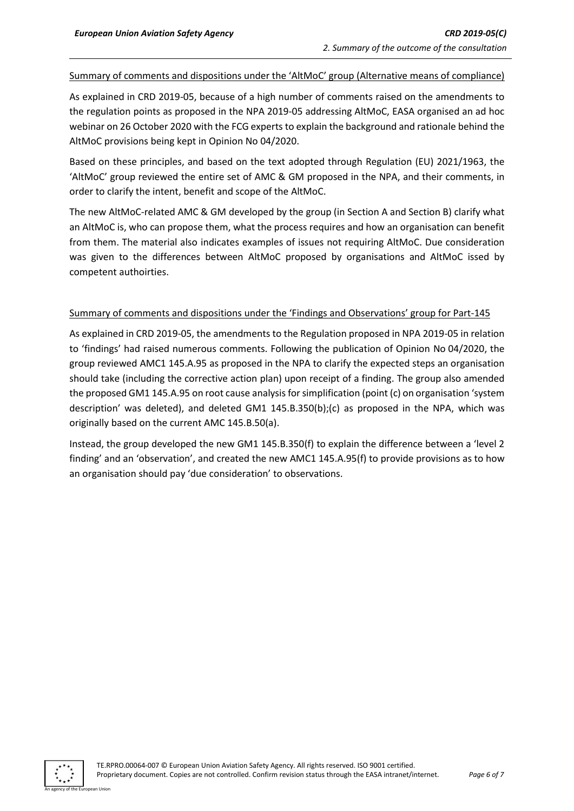#### Summary of comments and dispositions under the 'AltMoC' group (Alternative means of compliance)

As explained in CRD 2019-05, because of a high number of comments raised on the amendments to the regulation points as proposed in the NPA 2019-05 addressing AltMoC, EASA organised an ad hoc webinar on 26 October 2020 with the FCG experts to explain the background and rationale behind the AltMoC provisions being kept in Opinion No 04/2020.

Based on these principles, and based on the text adopted through Regulation (EU) 2021/1963, the 'AltMoC' group reviewed the entire set of AMC & GM proposed in the NPA, and their comments, in order to clarify the intent, benefit and scope of the AltMoC.

The new AltMoC-related AMC & GM developed by the group (in Section A and Section B) clarify what an AltMoC is, who can propose them, what the process requires and how an organisation can benefit from them. The material also indicates examples of issues not requiring AltMoC. Due consideration was given to the differences between AltMoC proposed by organisations and AltMoC issed by competent authoirties.

### Summary of comments and dispositions under the 'Findings and Observations' group for Part-145

As explained in CRD 2019-05, the amendments to the Regulation proposed in NPA 2019-05 in relation to 'findings' had raised numerous comments. Following the publication of Opinion No 04/2020, the group reviewed AMC1 145.A.95 as proposed in the NPA to clarify the expected steps an organisation should take (including the corrective action plan) upon receipt of a finding. The group also amended the proposed GM1 145.A.95 on root cause analysis for simplification (point (c) on organisation 'system description' was deleted), and deleted GM1 145.B.350(b);(c) as proposed in the NPA, which was originally based on the current AMC 145.B.50(a).

Instead, the group developed the new GM1 145.B.350(f) to explain the difference between a 'level 2 finding' and an 'observation', and created the new AMC1 145.A.95(f) to provide provisions as to how an organisation should pay 'due consideration' to observations.